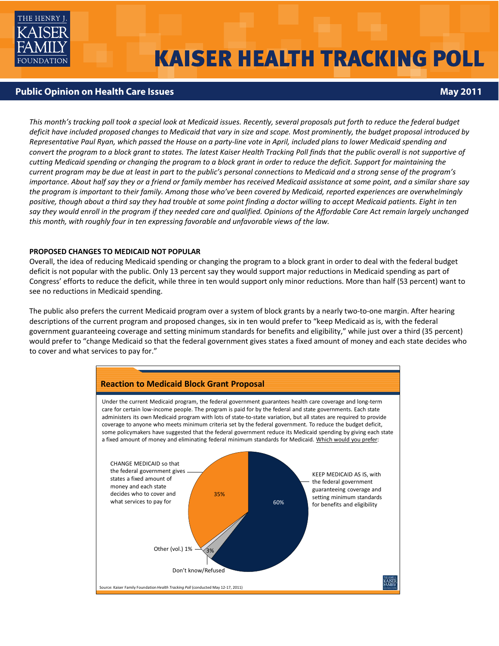

# **KAISER HEALTH TRACKING POLL**

# **Public Opinion on Health Care Issues May 2011 No. 1999 12:00 No. 1999 12:00 No. 1999 12:00 No. 1999 12:00 No. 1999**

This month's tracking poll took a special look at Medicaid issues. Recently, several proposals put forth to reduce the federal budget deficit have included proposed changes to Medicaid that vary in size and scope. Most prominently, the budget proposal introduced by Representative Paul Ryan, which passed the House on a party-line vote in April, included plans to lower Medicaid spending and convert the program to a block grant to states. The latest Kaiser Health Tracking Poll finds that the public overall is not supportive of cutting Medicaid spending or changing the program to a block grant in order to reduce the deficit. Support for maintaining the current program may be due at least in part to the public's personal connections to Medicaid and a strong sense of the program's importance. About half say they or a friend or family member has received Medicaid assistance at some point, and a similar share say the program is important to their family. Among those who've been covered by Medicaid, reported experiences are overwhelmingly positive, though about a third say they had trouble at some point finding a doctor willing to accept Medicaid patients. Eight in ten say they would enroll in the program if they needed care and qualified. Opinions of the Affordable Care Act remain largely unchanged *this month, with roughly four in ten expressing favorable and unfavorable views of the law.*

## **PROPOSED CHANGES TO MEDICAID NOT POPULAR**

Overall, the idea of reducing Medicaid spending or changing the program to a block grant in order to deal with the federal budget deficit is not popular with the public. Only 13 percent say they would support major reductions in Medicaid spending as part of Congress' efforts to reduce the deficit, while three in ten would support only minor reductions. More than half (53 percent) want to see no reductions in Medicaid spending.

The public also prefers the current Medicaid program over a system of block grants by a nearly two-to-one margin. After hearing descriptions of the current program and proposed changes, six in ten would prefer to "keep Medicaid as is, with the federal government guaranteeing coverage and setting minimum standards for benefits and eligibility," while just over a third (35 percent) would prefer to "change Medicaid so that the federal government gives states a fixed amount of money and each state decides who to cover and what services to pay for."

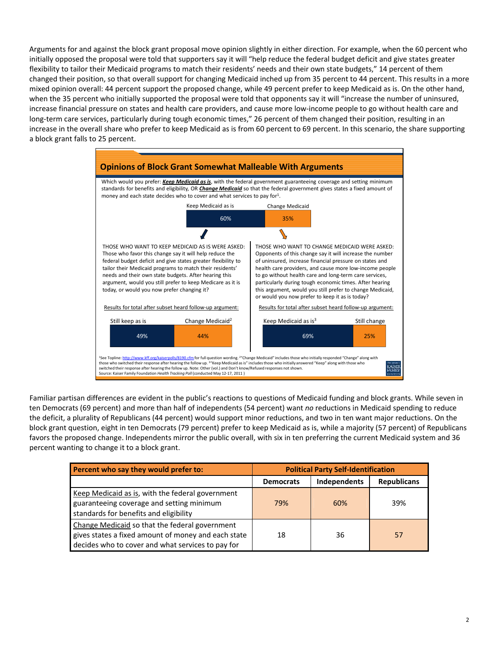Arguments for and against the block grant proposal move opinion slightly in either direction. For example, when the 60 percent who initially opposed the proposal were told that supporters say it will "help reduce the federal budget deficit and give states greater flexibility to tailor their Medicaid programs to match their residents' needs and their own state budgets," 14 percent of them changed their position, so that overall support for changing Medicaid inched up from 35 percent to 44 percent. This results in a more mixed opinion overall: 44 percent support the proposed change, while 49 percent prefer to keep Medicaid as is. On the other hand, when the 35 percent who initially supported the proposal were told that opponents say it will "increase the number of uninsured, increase financial pressure on states and health care providers, and cause more low‐income people to go without health care and long-term care services, particularly during tough economic times," 26 percent of them changed their position, resulting in an increase in the overall share who prefer to keep Medicaid as is from 60 percent to 69 percent. In this scenario, the share supporting a block grant falls to 25 percent.



Familiar partisan differences are evident in the public's reactions to questions of Medicaid funding and block grants. While seven in ten Democrats (69 percent) and more than half of independents (54 percent) want *no* reductions in Medicaid spending to reduce the deficit, a plurality of Republicans (44 percent) would support minor reductions, and two in ten want major reductions. On the block grant question, eight in ten Democrats (79 percent) prefer to keep Medicaid as is, while a majority (57 percent) of Republicans favors the proposed change. Independents mirror the public overall, with six in ten preferring the current Medicaid system and 36 percent wanting to change it to a block grant.

| Percent who say they would prefer to:                                                                                                                      |                  | <b>Political Party Self-Identification</b> |                    |
|------------------------------------------------------------------------------------------------------------------------------------------------------------|------------------|--------------------------------------------|--------------------|
|                                                                                                                                                            | <b>Democrats</b> | Independents                               | <b>Republicans</b> |
| Keep Medicaid as is, with the federal government<br>guaranteeing coverage and setting minimum<br>standards for benefits and eligibility                    | 79%              | 60%                                        | 39%                |
| Change Medicaid so that the federal government<br>gives states a fixed amount of money and each state<br>decides who to cover and what services to pay for | 18               | 36                                         | 57                 |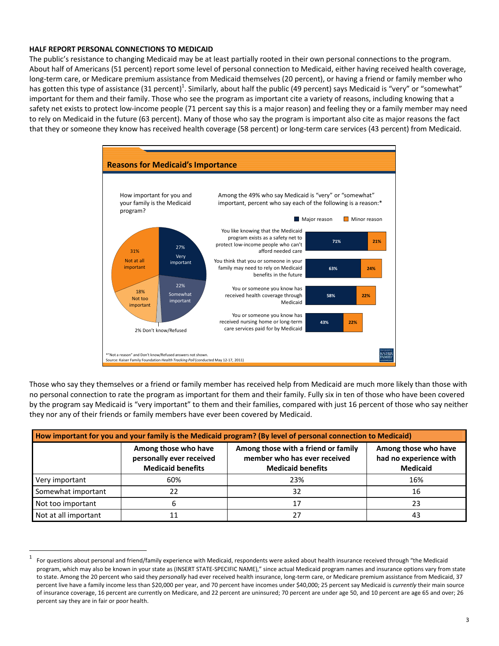## **HALF REPORT PERSONAL CONNECTIONS TO MEDICAID**

The public's resistance to changing Medicaid may be at least partially rooted in their own personal connections to the program. About half of Americans (51 percent) report some level of personal connection to Medicaid, either having received health coverage, long‐term care, or Medicare premium assistance from Medicaid themselves (20 percent), or having a friend or family member who has gotten this type of assistance (31 percent)<sup>1</sup>. Similarly, about half the public (49 percent) says Medicaid is "very" or "somewhat" important for them and their family. Those who see the program as important cite a variety of reasons, including knowing that a safety net exists to protect low-income people (71 percent say this is a major reason) and feeling they or a family member may need to rely on Medicaid in the future (63 percent). Many of those who say the program is important also cite as major reasons the fact that they or someone they know has received health coverage (58 percent) or long‐term care services (43 percent) from Medicaid.



Those who say they themselves or a friend or family member has received help from Medicaid are much more likely than those with no personal connection to rate the program as important for them and their family. Fully six in ten of those who have been covered by the program say Medicaid is "very important" to them and their families, compared with just 16 percent of those who say neither they nor any of their friends or family members have ever been covered by Medicaid.

| How important for you and your family is the Medicaid program? (By level of personal connection to Medicaid) |                                                                              |                                                                                                 |                                                                   |  |  |  |  |
|--------------------------------------------------------------------------------------------------------------|------------------------------------------------------------------------------|-------------------------------------------------------------------------------------------------|-------------------------------------------------------------------|--|--|--|--|
|                                                                                                              | Among those who have<br>personally ever received<br><b>Medicaid benefits</b> | Among those with a friend or family<br>member who has ever received<br><b>Medicaid benefits</b> | Among those who have<br>had no experience with<br><b>Medicaid</b> |  |  |  |  |
| Very important                                                                                               | 60%                                                                          | 23%                                                                                             | 16%                                                               |  |  |  |  |
| Somewhat important                                                                                           | 22                                                                           | 32                                                                                              | 16                                                                |  |  |  |  |
| Not too important                                                                                            | ь                                                                            |                                                                                                 | 23                                                                |  |  |  |  |
| Not at all important                                                                                         | 11                                                                           |                                                                                                 | 43                                                                |  |  |  |  |

 $1$  For questions about personal and friend/family experience with Medicaid, respondents were asked about health insurance received through "the Medicaid program, which may also be known in your state as (INSERT STATE‐SPECIFIC NAME)," since actual Medicaid program names and insurance options vary from state to state. Among the 20 percent who said they *personally* had ever received health insurance, long-term care, or Medicare premium assistance from Medicaid, 37 percent live have a family income less than \$20,000 per year, and 70 percent have incomes under \$40,000; 25 percent say Medicaid is *currently* their main source of insurance coverage, 16 percent are currently on Medicare, and 22 percent are uninsured; 70 percent are under age 50, and 10 percent are age 65 and over; 26 percent say they are in fair or poor health.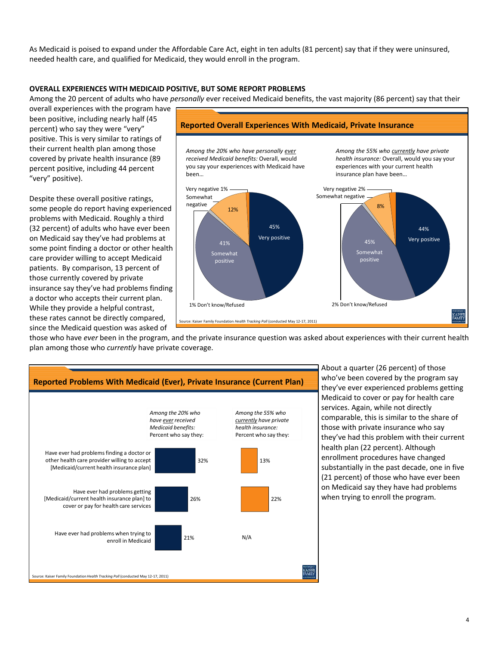As Medicaid is poised to expand under the Affordable Care Act, eight in ten adults (81 percent) say that if they were uninsured, needed health care, and qualified for Medicaid, they would enroll in the program.

#### **OVERALL EXPERIENCES WITH MEDICAID POSITIVE, BUT SOME REPORT PROBLEMS**

Among the 20 percent of adults who have *personally* ever received Medicaid benefits, the vast majority (86 percent) say that their

overall experiences with the program have been positive, including nearly half (45 percent) who say they were "very" positive. This is very similar to ratings of their current health plan among those covered by private health insurance (89 percent positive, including 44 percent "very" positive).

Despite these overall positive ratings, some people do report having experienced problems with Medicaid. Roughly a third (32 percent) of adults who have ever been on Medicaid say they've had problems at some point finding a doctor or other health care provider willing to accept Medicaid patients. By comparison, 13 percent of those currently covered by private insurance say they've had problems finding a doctor who accepts their current plan. While they provide a helpful contrast, these rates cannot be directly compared, since the Medicaid question was asked of



those who have *ever* been in the program, and the private insurance question was asked about experiences with their current health plan among those who *currently* have private coverage.



About a quarter (26 percent) of those who've been covered by the program say they've ever experienced problems getting Medicaid to cover or pay for health care services. Again, while not directly comparable, this is similar to the share of those with private insurance who say they've had this problem with their current health plan (22 percent). Although enrollment procedures have changed substantially in the past decade, one in five (21 percent) of those who have ever been on Medicaid say they have had problems when trying to enroll the program.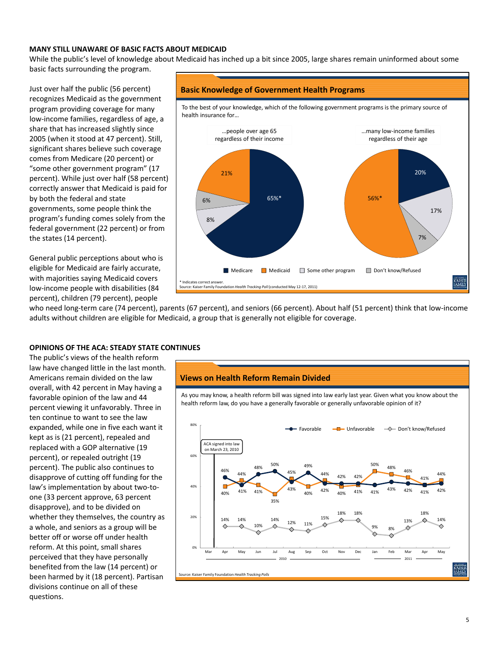### **MANY STILL UNAWARE OF BASIC FACTS ABOUT MEDICAID**

While the public's level of knowledge about Medicaid has inched up a bit since 2005, large shares remain uninformed about some basic facts surrounding the program.

Just over half the public (56 percent) recognizes Medicaid as the government program providing coverage for many low‐income families, regardless of age, a share that has increased slightly since 2005 (when it stood at 47 percent). Still, significant shares believe such coverage comes from Medicare (20 percent) or "some other government program" (17 percent). While just over half (58 percent) correctly answer that Medicaid is paid for by both the federal and state governments, some people think the program's funding comes solely from the federal government (22 percent) or from the states (14 percent).

General public perceptions about who is eligible for Medicaid are fairly accurate, with majorities saying Medicaid covers low‐income people with disabilities (84 percent), children (79 percent), people

#### **Basic Knowledge of Government Health Programs**



who need long-term care (74 percent), parents (67 percent), and seniors (66 percent). About half (51 percent) think that low-income adults without children are eligible for Medicaid, a group that is generally not eligible for coverage.

#### **OPINIONS OF THE ACA: STEADY STATE CONTINUES**

The public's views of the health reform law have changed little in the last month. Americans remain divided on the law overall, with 42 percent in May having a favorable opinion of the law and 44 percent viewing it unfavorably. Three in ten continue to want to see the law expanded, while one in five each want it kept as is (21 percent), repealed and replaced with a GOP alternative (19 percent), or repealed outright (19 percent). The public also continues to disapprove of cutting off funding for the law's implementation by about two-toone (33 percent approve, 63 percent disapprove), and to be divided on whether they themselves, the country as a whole, and seniors as a group will be better off or worse off under health reform. At this point, small shares perceived that they have personally benefited from the law (14 percent) or been harmed by it (18 percent). Partisan divisions continue on all of these questions.

#### **Views on Health Reform Remain Divided**

As you may know, a health reform bill was signed into law early last year. Given what you know about the health reform law, do you have a generally favorable or generally unfavorable opinion of it?